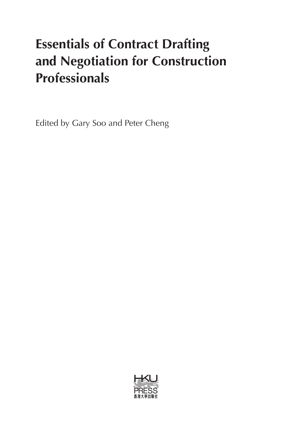# **Essentials of Contract Drafting and Negotiation for Construction Professionals**

Edited by Gary Soo and Peter Cheng

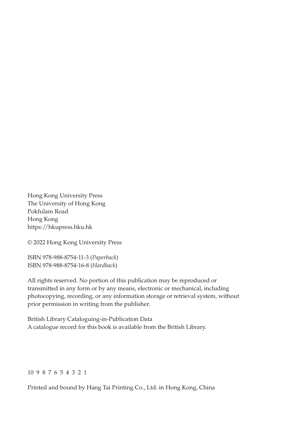Hong Kong University Press The University of Hong Kong Pokfulam Road Hong Kong https://hkupress.hku.hk

© 2022 Hong Kong University Press

ISBN 978-988-8754-11-3 (*Paperback*) ISBN 978-988-8754-16-8 (*Hardback*)

All rights reserved. No portion of this publication may be reproduced or transmitted in any form or by any means, electronic or mechanical, including photocopying, recording, or any information storage or retrieval system, without prior permission in writing from the publisher.

British Library Cataloguing-in-Publication Data A catalogue record for this book is available from the British Library.

#### 10 9 8 7 6 5 4 3 2 1

Printed and bound by Hang Tai Printing Co., Ltd. in Hong Kong, China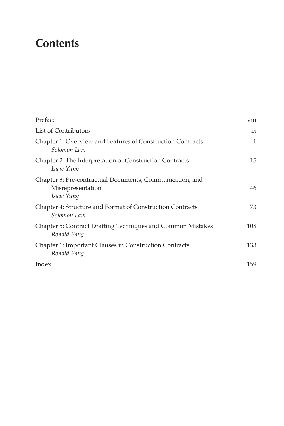# **Contents**

| Preface                                                                                     | viii         |
|---------------------------------------------------------------------------------------------|--------------|
| List of Contributors                                                                        | ix           |
| Chapter 1: Overview and Features of Construction Contracts<br>Solomon Lam                   | $\mathbf{1}$ |
| Chapter 2: The Interpretation of Construction Contracts<br>Isaac Yung                       | 15           |
| Chapter 3: Pre-contractual Documents, Communication, and<br>Misrepresentation<br>Isaac Yung | 46           |
| Chapter 4: Structure and Format of Construction Contracts<br>Solomon Lam                    | 73           |
| Chapter 5: Contract Drafting Techniques and Common Mistakes<br>Ronald Pang                  | 108          |
| Chapter 6: Important Clauses in Construction Contracts<br>Ronald Pang                       | 133          |
| Index                                                                                       | 159          |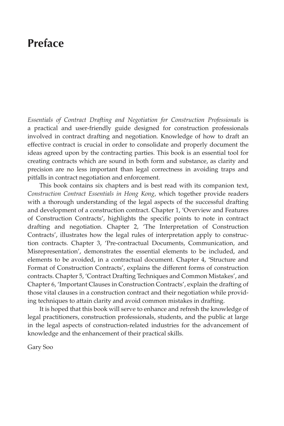### **Preface**

*Essentials of Contract Drafting and Negotiation for Construction Professionals* is a practical and user-friendly guide designed for construction professionals involved in contract drafting and negotiation. Knowledge of how to draft an effective contract is crucial in order to consolidate and properly document the ideas agreed upon by the contracting parties. This book is an essential tool for creating contracts which are sound in both form and substance, as clarity and precision are no less important than legal correctness in avoiding traps and pitfalls in contract negotiation and enforcement.

This book contains six chapters and is best read with its companion text, *Construction Contract Essentials in Hong Kong*, which together provide readers with a thorough understanding of the legal aspects of the successful drafting and development of a construction contract. Chapter 1, 'Overview and Features of Construction Contracts', highlights the specific points to note in contract drafting and negotiation. Chapter 2, 'The Interpretation of Construction Contracts', illustrates how the legal rules of interpretation apply to construction contracts. Chapter 3, 'Pre-contractual Documents, Communication, and Misrepresentation', demonstrates the essential elements to be included, and elements to be avoided, in a contractual document. Chapter 4, 'Structure and Format of Construction Contracts', explains the different forms of construction contracts. Chapter 5, 'Contract Drafting Techniques and Common Mistakes', and Chapter 6, 'Important Clauses in Construction Contracts', explain the drafting of those vital clauses in a construction contract and their negotiation while providing techniques to attain clarity and avoid common mistakes in drafting.

It is hoped that this book will serve to enhance and refresh the knowledge of legal practitioners, construction professionals, students, and the public at large in the legal aspects of construction-related industries for the advancement of knowledge and the enhancement of their practical skills.

Gary Soo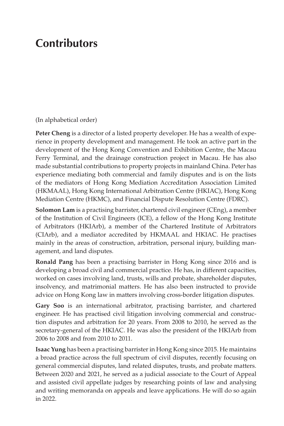### **Contributors**

(In alphabetical order)

**Peter Cheng** is a director of a listed property developer. He has a wealth of experience in property development and management. He took an active part in the development of the Hong Kong Convention and Exhibition Centre, the Macau Ferry Terminal, and the drainage construction project in Macau. He has also made substantial contributions to property projects in mainland China. Peter has experience mediating both commercial and family disputes and is on the lists of the mediators of Hong Kong Mediation Accreditation Association Limited (HKMAAL), Hong Kong International Arbitration Centre (HKIAC), Hong Kong Mediation Centre (HKMC), and Financial Dispute Resolution Centre (FDRC).

**Solomon Lam** is a practising barrister, chartered civil engineer (CEng), a member of the Institution of Civil Engineers (ICE), a fellow of the Hong Kong Institute of Arbitrators (HKIArb), a member of the Chartered Institute of Arbitrators (CIArb), and a mediator accredited by HKMAAL and HKIAC. He practises mainly in the areas of construction, arbitration, personal injury, building management, and land disputes.

**Ronald Pang** has been a practising barrister in Hong Kong since 2016 and is developing a broad civil and commercial practice. He has, in different capacities, worked on cases involving land, trusts, wills and probate, shareholder disputes, insolvency, and matrimonial matters. He has also been instructed to provide advice on Hong Kong law in matters involving cross-border litigation disputes.

**Gary Soo** is an international arbitrator, practising barrister, and chartered engineer. He has practised civil litigation involving commercial and construction disputes and arbitration for 20 years. From 2008 to 2010, he served as the secretary-general of the HKIAC. He was also the president of the HKIArb from 2006 to 2008 and from 2010 to 2011.

**Isaac Yung** has been a practising barrister in Hong Kong since 2015. He maintains a broad practice across the full spectrum of civil disputes, recently focusing on general commercial disputes, land related disputes, trusts, and probate matters. Between 2020 and 2021, he served as a judicial associate to the Court of Appeal and assisted civil appellate judges by researching points of law and analysing and writing memoranda on appeals and leave applications. He will do so again in 2022.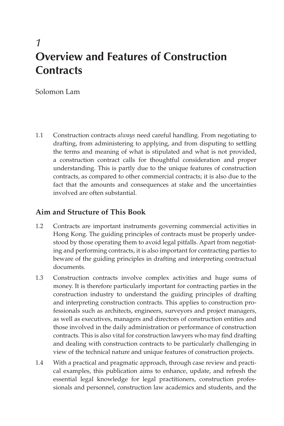### *1* **Overview and Features of Construction Contracts**

Solomon Lam

1.1 Construction contracts *always* need careful handling. From negotiating to drafting, from administering to applying, and from disputing to settling the terms and meaning of what is stipulated and what is not provided, a construction contract calls for thoughtful consideration and proper understanding. This is partly due to the unique features of construction contracts, as compared to other commercial contracts; it is also due to the fact that the amounts and consequences at stake and the uncertainties involved are often substantial.

#### **Aim and Structure of This Book**

- 1.2 Contracts are important instruments governing commercial activities in Hong Kong. The guiding principles of contracts must be properly understood by those operating them to avoid legal pitfalls. Apart from negotiating and performing contracts, it is also important for contracting parties to beware of the guiding principles in drafting and interpreting contractual documents.
- 1.3 Construction contracts involve complex activities and huge sums of money. It is therefore particularly important for contracting parties in the construction industry to understand the guiding principles of drafting and interpreting construction contracts. This applies to construction professionals such as architects, engineers, surveyors and project managers, as well as executives, managers and directors of construction entities and those involved in the daily administration or performance of construction contracts. This is also vital for construction lawyers who may find drafting and dealing with construction contracts to be particularly challenging in view of the technical nature and unique features of construction projects.
- 1.4 With a practical and pragmatic approach, through case review and practical examples, this publication aims to enhance, update, and refresh the essential legal knowledge for legal practitioners, construction professionals and personnel, construction law academics and students, and the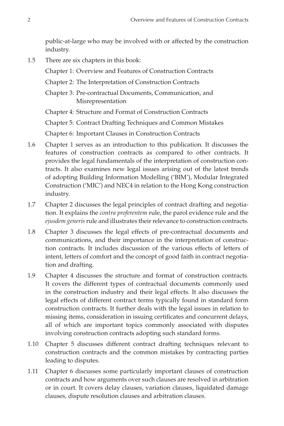public-at-large who may be involved with or affected by the construction industry.

1.5 There are six chapters in this book:

Chapter 1: Overview and Features of Construction Contracts

Chapter 2: The Interpretation of Construction Contracts

Chapter 3: Pre-contractual Documents, Communication, and Misrepresentation

Chapter 4: Structure and Format of Construction Contracts

Chapter 5: Contract Drafting Techniques and Common Mistakes

Chapter 6: Important Clauses in Construction Contracts

- 1.6 Chapter 1 serves as an introduction to this publication. It discusses the features of construction contracts as compared to other contracts. It provides the legal fundamentals of the interpretation of construction contracts. It also examines new legal issues arising out of the latest trends of adopting Building Information Modelling ('BIM'), Modular Integrated Construction ('MIC') and NEC4 in relation to the Hong Kong construction industry.
- 1.7 Chapter 2 discusses the legal principles of contract drafting and negotiation. It explains the *contra proferentem* rule, the parol evidence rule and the *ejusdem generis* rule and illustrates their relevance to construction contracts.
- 1.8 Chapter 3 discusses the legal effects of pre-contractual documents and communications, and their importance in the interpretation of construction contracts. It includes discussion of the various effects of letters of intent, letters of comfort and the concept of good faith in contract negotiation and drafting.
- 1.9 Chapter 4 discusses the structure and format of construction contracts. It covers the different types of contractual documents commonly used in the construction industry and their legal effects. It also discusses the legal effects of different contract terms typically found in standard form construction contracts. It further deals with the legal issues in relation to missing items, consideration in issuing certificates and concurrent delays, all of which are important topics commonly associated with disputes involving construction contracts adopting such standard forms.
- 1.10 Chapter 5 discusses different contract drafting techniques relevant to construction contracts and the common mistakes by contracting parties leading to disputes.
- 1.11 Chapter 6 discusses some particularly important clauses of construction contracts and how arguments over such clauses are resolved in arbitration or in court. It covers delay clauses, variation clauses, liquidated damage clauses, dispute resolution clauses and arbitration clauses.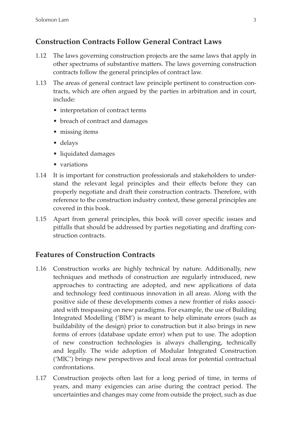#### **Construction Contracts Follow General Contract Laws**

- 1.12 The laws governing construction projects are the same laws that apply in other spectrums of substantive matters. The laws governing construction contracts follow the general principles of contract law.
- 1.13 The areas of general contract law principle pertinent to construction contracts, which are often argued by the parties in arbitration and in court, include:
	- interpretation of contract terms
	- breach of contract and damages
	- missing items
	- delays
	- liquidated damages
	- variations
- 1.14 It is important for construction professionals and stakeholders to understand the relevant legal principles and their effects before they can properly negotiate and draft their construction contracts. Therefore, with reference to the construction industry context, these general principles are covered in this book.
- 1.15 Apart from general principles, this book will cover specific issues and pitfalls that should be addressed by parties negotiating and drafting construction contracts.

#### **Features of Construction Contracts**

- 1.16 Construction works are highly technical by nature. Additionally, new techniques and methods of construction are regularly introduced, new approaches to contracting are adopted, and new applications of data and technology feed continuous innovation in all areas. Along with the positive side of these developments comes a new frontier of risks associated with trespassing on new paradigms. For example, the use of Building Integrated Modelling ('BIM') is meant to help eliminate errors (such as buildability of the design) prior to construction but it also brings in new forms of errors (database update error) when put to use. The adoption of new construction technologies is always challenging, technically and legally. The wide adoption of Modular Integrated Construction ('MIC') brings new perspectives and focal areas for potential contractual confrontations.
- 1.17 Construction projects often last for a long period of time, in terms of years, and many exigencies can arise during the contract period. The uncertainties and changes may come from outside the project, such as due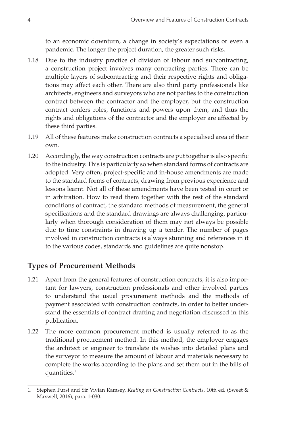to an economic downturn, a change in society's expectations or even a pandemic. The longer the project duration, the greater such risks.

- 1.18 Due to the industry practice of division of labour and subcontracting, a construction project involves many contracting parties. There can be multiple layers of subcontracting and their respective rights and obligations may affect each other. There are also third party professionals like architects, engineers and surveyors who are not parties to the construction contract between the contractor and the employer, but the construction contract confers roles, functions and powers upon them, and thus the rights and obligations of the contractor and the employer are affected by these third parties.
- 1.19 All of these features make construction contracts a specialised area of their own.
- 1.20 Accordingly, the way construction contracts are put together is also specific to the industry. This is particularly so when standard forms of contracts are adopted. Very often, project-specific and in-house amendments are made to the standard forms of contracts, drawing from previous experience and lessons learnt. Not all of these amendments have been tested in court or in arbitration. How to read them together with the rest of the standard conditions of contract, the standard methods of measurement, the general specifications and the standard drawings are always challenging, particularly when thorough consideration of them may not always be possible due to time constraints in drawing up a tender. The number of pages involved in construction contracts is always stunning and references in it to the various codes, standards and guidelines are quite nonstop.

#### **Types of Procurement Methods**

- 1.21 Apart from the general features of construction contracts, it is also important for lawyers, construction professionals and other involved parties to understand the usual procurement methods and the methods of payment associated with construction contracts, in order to better understand the essentials of contract drafting and negotiation discussed in this publication.
- 1.22 The more common procurement method is usually referred to as the traditional procurement method. In this method, the employer engages the architect or engineer to translate its wishes into detailed plans and the surveyor to measure the amount of labour and materials necessary to complete the works according to the plans and set them out in the bills of quantities.<sup>1</sup>

<sup>1.</sup> Stephen Furst and Sir Vivian Ramsey, *Keating on Construction Contracts*, 10th ed. (Sweet & Maxwell, 2016), para. 1-030.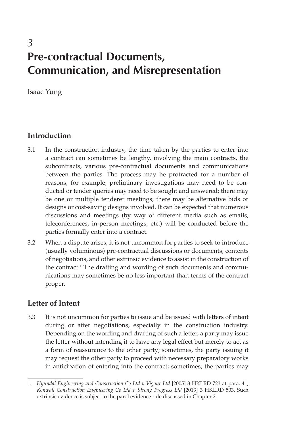### *3* **Pre-contractual Documents, Communication, and Misrepresentation**

Isaac Yung

#### **Introduction**

- 3.1 In the construction industry, the time taken by the parties to enter into a contract can sometimes be lengthy, involving the main contracts, the subcontracts, various pre-contractual documents and communications between the parties. The process may be protracted for a number of reasons; for example, preliminary investigations may need to be conducted or tender queries may need to be sought and answered; there may be one or multiple tenderer meetings; there may be alternative bids or designs or cost-saving designs involved. It can be expected that numerous discussions and meetings (by way of different media such as emails, teleconferences, in-person meetings, etc.) will be conducted before the parties formally enter into a contract.
- 3.2 When a dispute arises, it is not uncommon for parties to seek to introduce (usually voluminous) pre-contractual discussions or documents, contents of negotiations, and other extrinsic evidence to assist in the construction of the contract.<sup>1</sup> The drafting and wording of such documents and communications may sometimes be no less important than terms of the contract proper.

#### **Letter of Intent**

3.3 It is not uncommon for parties to issue and be issued with letters of intent during or after negotiations, especially in the construction industry. Depending on the wording and drafting of such a letter, a party may issue the letter without intending it to have any legal effect but merely to act as a form of reassurance to the other party; sometimes, the party issuing it may request the other party to proceed with necessary preparatory works in anticipation of entering into the contract; sometimes, the parties may

<sup>1.</sup> *Hyundai Engineering and Construction Co Ltd v Vigour Ltd* [2005] 3 HKLRD 723 at para. 41; *Konwall Construction Engineering Co Ltd v Strong Progress Ltd* [2013] 3 HKLRD 503. Such extrinsic evidence is subject to the parol evidence rule discussed in Chapter 2.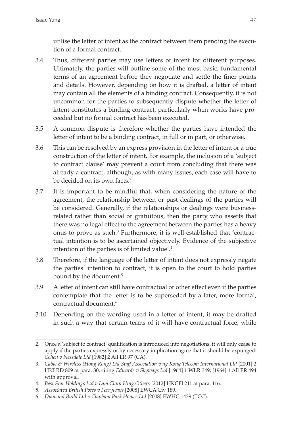utilise the letter of intent as the contract between them pending the execution of a formal contract.

- 3.4 Thus, different parties may use letters of intent for different purposes. Ultimately, the parties will outline some of the most basic, fundamental terms of an agreement before they negotiate and settle the finer points and details. However, depending on how it is drafted, a letter of intent may contain all the elements of a binding contract. Consequently, it is not uncommon for the parties to subsequently dispute whether the letter of intent constitutes a binding contract, particularly when works have proceeded but no formal contract has been executed.
- 3.5 A common dispute is therefore whether the parties have intended the letter of intent to be a binding contract, in full or in part, or otherwise.
- 3.6 This can be resolved by an express provision in the letter of intent or a true construction of the letter of intent. For example, the inclusion of a 'subject to contract clause' may prevent a court from concluding that there was already a contract, although, as with many issues, each case will have to be decided on its own facts.<sup>2</sup>
- 3.7 It is important to be mindful that, when considering the nature of the agreement, the relationship between or past dealings of the parties will be considered. Generally, if the relationships or dealings were businessrelated rather than social or gratuitous, then the party who asserts that there was no legal effect to the agreement between the parties has a heavy onus to prove as such.<sup>3</sup> Furthermore, it is well-established that 'contractual intention is to be ascertained objectively. Evidence of the subjective intention of the parties is of limited value'.4
- 3.8 Therefore, if the language of the letter of intent does not expressly negate the parties' intention to contract, it is open to the court to hold parties bound by the document.<sup>5</sup>
- 3.9 A letter of intent can still have contractual or other effect even if the parties contemplate that the letter is to be superseded by a later, more formal, contractual document.6
- 3.10 Depending on the wording used in a letter of intent, it may be drafted in such a way that certain terms of it will have contractual force, while

<sup>2.</sup> Once a 'subject to contract' qualification is introduced into negotiations, it will only cease to apply if the parties expressly or by necessary implication agree that it should be expunged: *Cohen v Nessdale Ltd* [1982] 2 All ER 97 (CA).

<sup>3.</sup> *Cable & Wireless (Hong Kong) Ltd Staff Association v ng Kong Telecom International Ltd* [2001] 2 HKLRD 809 at para. 30, citing *Edwards v Skyways Ltd* [1964] 1 WLR 349; [1964] 1 All ER 494 with approval.

<sup>4.</sup> *Best Star Holdings Ltd v Lam Chun Hing Others* [2012] HKCFI 211 at para. 116.

<sup>5.</sup> *Associated British Ports v Ferryways* [2008] EWCA Civ 189.

<sup>6.</sup> *Diamond Build Ltd v Clapham Park Homes Ltd* [2008] EWHC 1439 (TCC).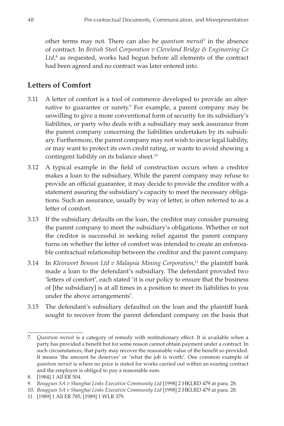other terms may not. There can also be *quantum meruit*<sup>7</sup> in the absence of contract. In *British Steel Corporation v Cleveland Bridge & Engineering Co* Ltd,<sup>8</sup> as requested, works had begun before all elements of the contract had been agreed and no contract was later entered into.

#### **Letters of Comfort**

- 3.11 A letter of comfort is a tool of commerce developed to provide an alternative to guarantee or surety.<sup>9</sup> For example, a parent company may be unwilling to give a more conventional form of security for its subsidiary's liabilities, or party who deals with a subsidiary may seek assurance from the parent company concerning the liabilities undertaken by its subsidiary. Furthermore, the parent company may not wish to incur legal liability, or may want to protect its own credit rating, or wants to avoid showing a contingent liability on its balance sheet.<sup>10</sup>
- 3.12 A typical example in the field of construction occurs when a creditor makes a loan to the subsidiary. While the parent company may refuse to provide an official guarantee, it may decide to provide the creditor with a statement assuring the subsidiary's capacity to meet the necessary obligations. Such an assurance, usually by way of letter, is often referred to as a letter of comfort.
- 3.13 If the subsidiary defaults on the loan, the creditor may consider pursuing the parent company to meet the subsidiary's obligations. Whether or not the creditor is successful in seeking relief against the parent company turns on whether the letter of comfort was intended to create an enforceable contractual relationship between the creditor and the parent company.
- 3.14 In *Kleinwort Benson Ltd v Malaysia Mining Corporation*, 11 the plaintiff bank made a loan to the defendant's subsidiary. The defendant provided two 'letters of comfort', each stated 'it is our policy to ensure that the business of [the subsidiary] is at all times in a position to meet its liabilities to you under the above arrangements'.
- 3.15 The defendant's subsidiary defaulted on the loan and the plaintiff bank sought to recover from the parent defendant company on the basis that

<sup>7.</sup> *Quantum meruit* is a category of remedy with restitutionary effect. It is available when a party has provided a benefit but for some reason cannot obtain payment under a contract. In such circumstances, that party may recover the reasonable value of the benefit so provided. It means 'the amount he deserves' or 'what the job is worth'. One common example of *quantum meruit* is where no price is stated for works carried out within an existing contract and the employer is obliged to pay a reasonable sum.

<sup>8.</sup> [1984] 1 All ER 504.

<sup>9.</sup> *Bouygues SA v Shanghai Links Executive Community Ltd* [1998] 2 HKLRD 479 at para. 28.

<sup>10.</sup> *Bouygues SA v Shanghai Links Executive Community Ltd* [1998] 2 HKLRD 479 at para. 28.

<sup>11.</sup> [1989] 1 All ER 785; [1989] 1 WLR 379.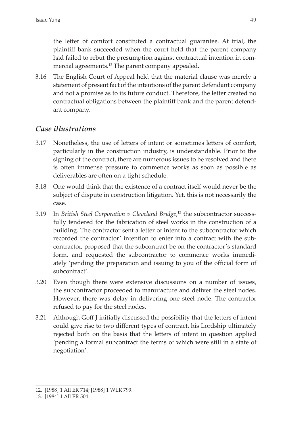the letter of comfort constituted a contractual guarantee. At trial, the plaintiff bank succeeded when the court held that the parent company had failed to rebut the presumption against contractual intention in commercial agreements.<sup>12</sup> The parent company appealed.

3.16 The English Court of Appeal held that the material clause was merely a statement of present fact of the intentions of the parent defendant company and not a promise as to its future conduct. Therefore, the letter created no contractual obligations between the plaintiff bank and the parent defendant company.

#### *Case illustrations*

- 3.17 Nonetheless, the use of letters of intent or sometimes letters of comfort, particularly in the construction industry, is understandable. Prior to the signing of the contract, there are numerous issues to be resolved and there is often immense pressure to commence works as soon as possible as deliverables are often on a tight schedule.
- 3.18 One would think that the existence of a contract itself would never be the subject of dispute in construction litigation. Yet, this is not necessarily the case.
- 3.19 In *British Steel Corporation v Cleveland Bridge*, 13 the subcontractor successfully tendered for the fabrication of steel works in the construction of a building. The contractor sent a letter of intent to the subcontractor which recorded the contractor' intention to enter into a contract with the subcontractor, proposed that the subcontract be on the contractor's standard form, and requested the subcontractor to commence works immediately 'pending the preparation and issuing to you of the official form of subcontract'.
- 3.20 Even though there were extensive discussions on a number of issues, the subcontractor proceeded to manufacture and deliver the steel nodes. However, there was delay in delivering one steel node. The contractor refused to pay for the steel nodes.
- 3.21 Although Goff J initially discussed the possibility that the letters of intent could give rise to two different types of contract, his Lordship ultimately rejected both on the basis that the letters of intent in question applied 'pending a formal subcontract the terms of which were still in a state of negotiation'.

<sup>12.</sup> [1988] 1 All ER 714; [1988] 1 WLR 799.

<sup>13.</sup> [1984] 1 All ER 504.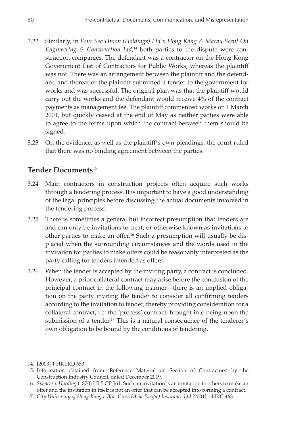- 3.22 Similarly, in *Four Sea Union (Holdings) Ltd v Hong Kong & Macau Scent On Engineering & Construction Ltd*, 14 both parties to the dispute were construction companies. The defendant was a contractor on the Hong Kong Government List of Contractors for Public Works, whereas the plaintiff was not. There was an arrangement between the plaintiff and the defendant, and thereafter the plaintiff submitted a tender to the government for works and was successful. The original plan was that the plaintiff would carry out the works and the defendant would receive 4% of the contract payments as management fee. The plaintiff commenced works on 1 March 2001, but quickly ceased at the end of May as neither parties were able to agree to the terms upon which the contract between them should be signed.
- 3.23 On the evidence, as well as the plaintiff's own pleadings, the court ruled that there was no binding agreement between the parties.

#### **Tender Documents**<sup>15</sup>

- 3.24 Main contractors in construction projects often acquire such works through a tendering process. It is important to have a good understanding of the legal principles before discussing the actual documents involved in the tendering process.
- 3.25 There is sometimes a general but incorrect presumption that tenders are and can only be invitations to treat, or otherwise known as invitations to other parties to make an offer.16 Such a presumption will usually be displaced when the surrounding circumstances and the words used in the invitation for parties to make offers could be reasonably interpreted as the party calling for tenders intended as offers.
- 3.26 When the tender is accepted by the inviting party, a contract is concluded. However, a prior collateral contract may arise before the conclusion of the principal contract in the following manner—there is an implied obligation on the party inviting the tender to consider all confirming tenders according to the invitation to tender, thereby providing consideration for a collateral contract, i.e. the 'process' contract, brought into being upon the submission of a tender.<sup>17</sup> This is a natural consequence of the tenderer's own obligation to be bound by the conditions of tendering.

<sup>14.</sup> [2003] 1 HKLRD 653.

<sup>15.</sup> Information obtained from 'Reference Material on Section of Contractors' by the Construction Industry Council, dated December 2019.

<sup>16.</sup> *Spencer v Harding* (1870) LR 5 CP 561. Such an invitation is an invitation to others to make an offer and the invitation in itself is not an offer that can be accepted into forming a contract.

<sup>17.</sup> *City University of Hong Kong v Blue Cross (Asia-Pacific) Insurance Ltd* [2001] 1 HKC 463.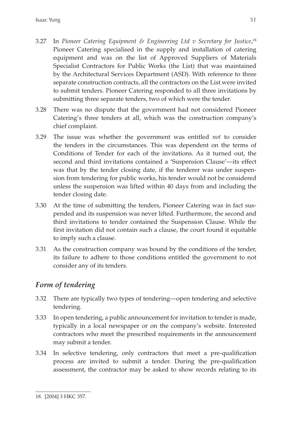- 3.27 In *Pioneer Catering Equipment & Engineering Ltd v Secretary for Justice*, 18 Pioneer Catering specialised in the supply and installation of catering equipment and was on the list of Approved Suppliers of Materials Specialist Contractors for Public Works (the List) that was maintained by the Architectural Services Department (ASD). With reference to three separate construction contracts, all the contractors on the List were invited to submit tenders. Pioneer Catering responded to all three invitations by submitting three separate tenders, two of which were the tender.
- 3.28 There was no dispute that the government had not considered Pioneer Catering's three tenders at all, which was the construction company's chief complaint.
- 3.29 The issue was whether the government was entitled *not* to consider the tenders in the circumstances. This was dependent on the terms of Conditions of Tender for each of the invitations. As it turned out, the second and third invitations contained a 'Suspension Clause'—its effect was that by the tender closing date, if the tenderer was under suspension from tendering for public works, his tender would not be considered unless the suspension was lifted within 40 days from and including the tender closing date.
- 3.30 At the time of submitting the tenders, Pioneer Catering was in fact suspended and its suspension was never lifted. Furthermore, the second and third invitations to tender contained the Suspension Clause. While the first invitation did not contain such a clause, the court found it equitable to imply such a clause.
- 3.31 As the construction company was bound by the conditions of the tender, its failure to adhere to those conditions entitled the government to not consider any of its tenders.

#### *Form of tendering*

- 3.32 There are typically two types of tendering—open tendering and selective tendering.
- 3.33 In open tendering, a public announcement for invitation to tender is made, typically in a local newspaper or on the company's website. Interested contractors who meet the prescribed requirements in the announcement may submit a tender.
- 3.34 In selective tendering, only contractors that meet a pre-qualification process are invited to submit a tender. During the pre-qualification assessment, the contractor may be asked to show records relating to its

<sup>18.</sup> [2004] 3 HKC 357.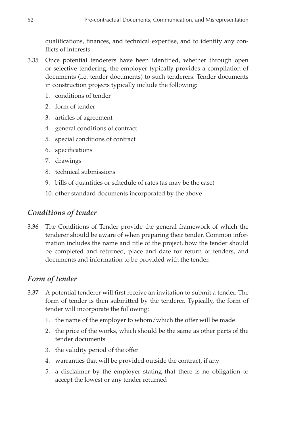qualifications, finances, and technical expertise, and to identify any conflicts of interests.

- 3.35 Once potential tenderers have been identified, whether through open or selective tendering, the employer typically provides a compilation of documents (i.e. tender documents) to such tenderers. Tender documents in construction projects typically include the following:
	- 1. conditions of tender
	- 2. form of tender
	- 3. articles of agreement
	- 4. general conditions of contract
	- 5. special conditions of contract
	- 6. specifications
	- 7. drawings
	- 8. technical submissions
	- 9. bills of quantities or schedule of rates (as may be the case)
	- 10. other standard documents incorporated by the above

#### *Conditions of tender*

3.36 The Conditions of Tender provide the general framework of which the tenderer should be aware of when preparing their tender. Common information includes the name and title of the project, how the tender should be completed and returned, place and date for return of tenders, and documents and information to be provided with the tender.

#### *Form of tender*

- 3.37 A potential tenderer will first receive an invitation to submit a tender. The form of tender is then submitted by the tenderer. Typically, the form of tender will incorporate the following:
	- 1. the name of the employer to whom/which the offer will be made
	- 2. the price of the works, which should be the same as other parts of the tender documents
	- 3. the validity period of the offer
	- 4. warranties that will be provided outside the contract, if any
	- 5. a disclaimer by the employer stating that there is no obligation to accept the lowest or any tender returned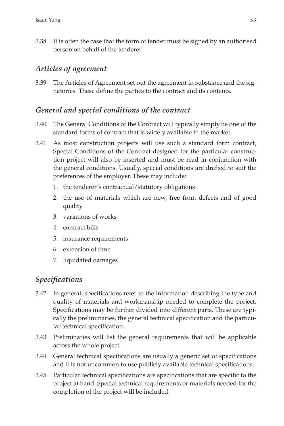3.38 It is often the case that the form of tender must be signed by an authorised person on behalf of the tenderer.

#### *Articles of agreement*

3.39 The Articles of Agreement set out the agreement in substance and the signatories. These define the parties to the contract and its contents.

#### *General and special conditions of the contract*

- 3.40 The General Conditions of the Contract will typically simply be one of the standard forms of contract that is widely available in the market.
- 3.41 As most construction projects will use such a standard form contract, Special Conditions of the Contract designed for the particular construction project will also be inserted and must be read in conjunction with the general conditions. Usually, special conditions are drafted to suit the preferences of the employer. These may include:
	- 1. the tenderer's contractual/statutory obligations
	- 2. the use of materials which are new, free from defects and of good quality
	- 3. variations of works
	- 4. contract bills
	- 5. insurance requirements
	- 6. extension of time
	- 7. liquidated damages

#### *Specifications*

- 3.42 In general, specifications refer to the information describing the type and quality of materials and workmanship needed to complete the project. Specifications may be further divided into different parts. These are typically the preliminaries, the general technical specification and the particular technical specification.
- 3.43 Preliminaries will list the general requirements that will be applicable across the whole project.
- 3.44 General technical specifications are usually a generic set of specifications and it is not uncommon to use publicly available technical specifications.
- 3.45 Particular technical specifications are specifications that are specific to the project at hand. Special technical requirements or materials needed for the completion of the project will be included.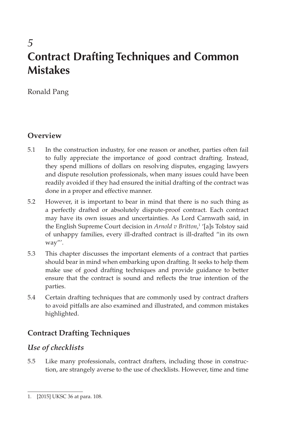# *5* **Contract Drafting Techniques and Common Mistakes**

Ronald Pang

#### **Overview**

- 5.1 In the construction industry, for one reason or another, parties often fail to fully appreciate the importance of good contract drafting. Instead, they spend millions of dollars on resolving disputes, engaging lawyers and dispute resolution professionals, when many issues could have been readily avoided if they had ensured the initial drafting of the contract was done in a proper and effective manner.
- 5.2 However, it is important to bear in mind that there is no such thing as a perfectly drafted or absolutely dispute-proof contract. Each contract may have its own issues and uncertainties. As Lord Carnwath said, in the English Supreme Court decision in *Arnold v Britton*, 1 '[a]s Tolstoy said of unhappy families, every ill-drafted contract is ill-drafted "in its own way"'.
- 5.3 This chapter discusses the important elements of a contract that parties should bear in mind when embarking upon drafting. It seeks to help them make use of good drafting techniques and provide guidance to better ensure that the contract is sound and reflects the true intention of the parties.
- 5.4 Certain drafting techniques that are commonly used by contract drafters to avoid pitfalls are also examined and illustrated, and common mistakes highlighted.

#### **Contract Drafting Techniques**

#### *Use of checklists*

5.5 Like many professionals, contract drafters, including those in construction, are strangely averse to the use of checklists. However, time and time

<sup>1.</sup> [2015] UKSC 36 at para. 108.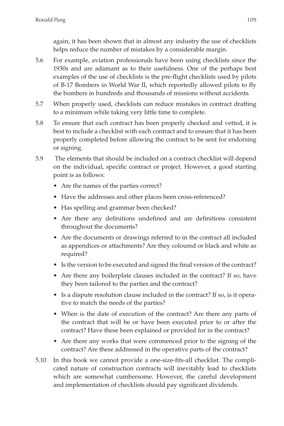again, it has been shown that in almost any industry the use of checklists helps reduce the number of mistakes by a considerable margin.

- 5.6 For example, aviation professionals have been using checklists since the 1930s and are adamant as to their usefulness. One of the perhaps best examples of the use of checklists is the pre-flight checklists used by pilots of B-17 Bombers in World War II, which reportedly allowed pilots to fly the bombers in hundreds and thousands of missions without accidents.
- 5.7 When properly used, checklists can reduce mistakes in contract drafting to a minimum while taking very little time to complete.
- 5.8 To ensure that each contract has been properly checked and vetted, it is best to include a checklist with each contract and to ensure that it has been properly completed before allowing the contract to be sent for endorsing or signing.
- 5.9 The elements that should be included on a contract checklist will depend on the individual, specific contract or project. However, a good starting point is as follows:
	- Are the names of the parties correct?
	- Have the addresses and other places been cross-referenced?
	- Has spelling and grammar been checked?
	- Are there any definitions undefined and are definitions consistent throughout the documents?
	- Are the documents or drawings referred to in the contract all included as appendices or attachments? Are they coloured or black and white as required?
	- Is the version to be executed and signed the final version of the contract?
	- Are there any boilerplate clauses included in the contract? If so, have they been tailored to the parties and the contract?
	- Is a dispute resolution clause included in the contract? If so, is it operative to match the needs of the parties?
	- When is the date of execution of the contract? Are there any parts of the contract that will be or have been executed prior to or after the contract? Have these been explained or provided for in the contract?
	- Are there any works that were commenced prior to the signing of the contract? Are these addressed in the operative parts of the contract?
- 5.10 In this book we cannot provide a one-size-fits-all checklist. The complicated nature of construction contracts will inevitably lead to checklists which are somewhat cumbersome. However, the careful development and implementation of checklists should pay significant dividends.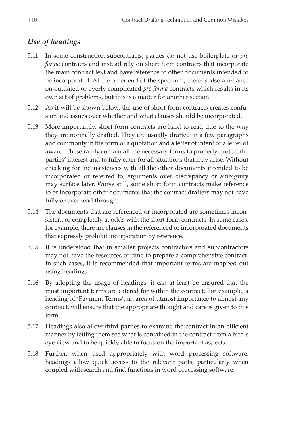#### *Use of headings*

- 5.11 In some construction subcontracts, parties do not use boilerplate or *pro forma* contracts and instead rely on short form contracts that incorporate the main contract text and have reference to other documents intended to be incorporated. At the other end of the spectrum, there is also a reliance on outdated or overly complicated *pro forma* contracts which results in its own set of problems, but this is a matter for another section.
- 5.12 As it will be shown below, the use of short form contracts creates confusion and issues over whether and what clauses should be incorporated.
- 5.13 More importantly, short form contracts are hard to read due to the way they are normally drafted. They are usually drafted in a few paragraphs and commonly in the form of a quotation and a letter of intent or a letter of award. These rarely contain all the necessary terms to properly protect the parties' interest and to fully cater for all situations that may arise. Without checking for inconsistences with all the other documents intended to be incorporated or referred to, arguments over discrepancy or ambiguity may surface later. Worse still, some short form contracts make reference to or incorporate other documents that the contract drafters may not have fully or ever read through.
- 5.14 The documents that are referenced or incorporated are sometimes inconsistent or completely at odds with the short form contracts. In some cases, for example, there are clauses in the referenced or incorporated documents that expressly prohibit incorporation by reference.
- 5.15 It is understood that in smaller projects contractors and subcontractors may not have the resources or time to prepare a comprehensive contract. In such cases, it is recommended that important terms are mapped out using headings.
- 5.16 By adopting the usage of headings, it can at least be ensured that the most important terms are catered for within the contract. For example, a heading of 'Payment Terms', an area of utmost importance to almost any contract, will ensure that the appropriate thought and care is given to this term.
- 5.17 Headings also allow third parties to examine the contract in an efficient manner by letting them see what is contained in the contract from a bird's eye view and to be quickly able to focus on the important aspects.
- 5.18 Further, when used appropriately with word processing software, headings allow quick access to the relevant parts, particularly when coupled with search and find functions in word processing software.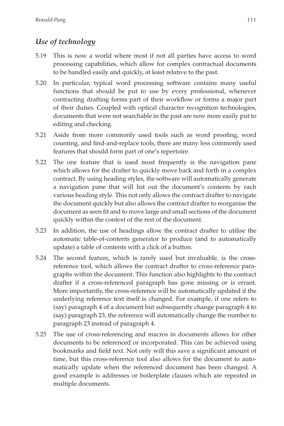#### *Use of technology*

- 5.19 This is now a world where most if not all parties have access to word processing capabilities, which allow for complex contractual documents to be handled easily and quickly, at least relative to the past.
- 5.20 In particular, typical word processing software contains many useful functions that should be put to use by every professional, whenever contracting drafting forms part of their workflow or forms a major part of their duties. Coupled with optical character recognition technologies, documents that were not searchable in the past are now more easily put to editing and checking.
- 5.21 Aside from more commonly used tools such as word proofing, word counting, and find-and-replace tools, there are many less commonly used features that should form part of one's repertoire.
- 5.22 The one feature that is used most frequently is the navigation pane which allows for the drafter to quickly move back and forth in a complex contract. By using heading styles, the software will automatically generate a navigation pane that will list out the document's contents by each various heading style. This not only allows the contract drafter to navigate the document quickly but also allows the contract drafter to reorganise the document as seen fit and to move large and small sections of the document quickly within the context of the rest of the document.
- 5.23 In addition, the use of headings allow the contract drafter to utilise the automatic table-of-contents generator to produce (and to automatically update) a table of contents with a click of a button.
- 5.24 The second feature, which is rarely used but invaluable, is the crossreference tool, which allows the contract drafter to cross-reference paragraphs within the document. This function also highlights to the contract drafter if a cross-referenced paragraph has gone missing or is errant. More importantly, the cross-reference will be automatically updated if the underlying reference text itself is changed. For example, if one refers to (say) paragraph 4 of a document but subsequently change paragraph 4 to (say) paragraph 23, the reference will automatically change the number to paragraph 23 instead of paragraph 4.
- 5.25 The use of cross-referencing and macros in documents allows for other documents to be referenced or incorporated. This can be achieved using bookmarks and field text. Not only will this save a significant amount of time, but this cross-reference tool also allows for the document to automatically update when the referenced document has been changed. A good example is addresses or boilerplate clauses which are repeated in multiple documents.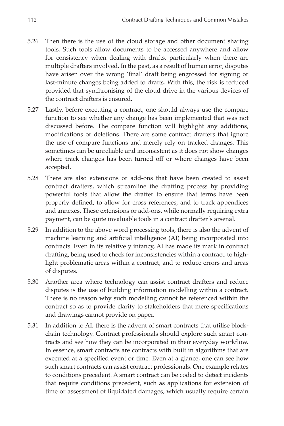- 5.26 Then there is the use of the cloud storage and other document sharing tools. Such tools allow documents to be accessed anywhere and allow for consistency when dealing with drafts, particularly when there are multiple drafters involved. In the past, as a result of human error, disputes have arisen over the wrong 'final' draft being engrossed for signing or last-minute changes being added to drafts. With this, the risk is reduced provided that synchronising of the cloud drive in the various devices of the contract drafters is ensured.
- 5.27 Lastly, before executing a contract, one should always use the compare function to see whether any change has been implemented that was not discussed before. The compare function will highlight any additions, modifications or deletions. There are some contract drafters that ignore the use of compare functions and merely rely on tracked changes. This sometimes can be unreliable and inconsistent as it does not show changes where track changes has been turned off or where changes have been accepted.
- 5.28 There are also extensions or add-ons that have been created to assist contract drafters, which streamline the drafting process by providing powerful tools that allow the drafter to ensure that terms have been properly defined, to allow for cross references, and to track appendices and annexes. These extensions or add-ons, while normally requiring extra payment, can be quite invaluable tools in a contract drafter's arsenal.
- 5.29 In addition to the above word processing tools, there is also the advent of machine learning and artificial intelligence (AI) being incorporated into contracts. Even in its relatively infancy, AI has made its mark in contract drafting, being used to check for inconsistencies within a contract, to highlight problematic areas within a contract, and to reduce errors and areas of disputes.
- 5.30 Another area where technology can assist contract drafters and reduce disputes is the use of building information modelling within a contract. There is no reason why such modelling cannot be referenced within the contract so as to provide clarity to stakeholders that mere specifications and drawings cannot provide on paper.
- 5.31 In addition to AI, there is the advent of smart contracts that utilise blockchain technology. Contract professionals should explore such smart contracts and see how they can be incorporated in their everyday workflow. In essence, smart contracts are contracts with built in algorithms that are executed at a specified event or time. Even at a glance, one can see how such smart contracts can assist contract professionals. One example relates to conditions precedent. A smart contract can be coded to detect incidents that require conditions precedent, such as applications for extension of time or assessment of liquidated damages, which usually require certain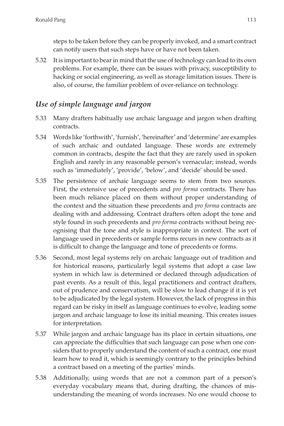steps to be taken before they can be properly invoked, and a smart contract can notify users that such steps have or have not been taken.

5.32 It is important to bear in mind that the use of technology can lead to its own problems. For example, there can be issues with privacy, susceptibility to hacking or social engineering, as well as storage limitation issues. There is also, of course, the familiar problem of over-reliance on technology.

#### *Use of simple language and jargon*

- 5.33 Many drafters habitually use archaic language and jargon when drafting contracts.
- 5.34 Words like 'forthwith', 'furnish', 'hereinafter' and 'determine' are examples of such archaic and outdated language. These words are extremely common in contracts, despite the fact that they are rarely used in spoken English and rarely in any reasonable person's vernacular; instead, words such as 'immediately', 'provide', 'below', and 'decide' should be used.
- 5.35 The persistence of archaic language seems to stem from two sources. First, the extensive use of precedents and *pro forma* contracts. There has been much reliance placed on them without proper understanding of the context and the situation these precedents and *pro forma* contracts are dealing with and addressing. Contract drafters often adopt the tone and style found in such precedents and *pro forma* contracts without being recognising that the tone and style is inappropriate in context. The sort of language used in precedents or sample forms recurs in new contracts as it is difficult to change the language and tone of precedents or forms.
- 5.36 Second, most legal systems rely on archaic language out of tradition and for historical reasons, particularly legal systems that adopt a case law system in which law is determined or declared through adjudication of past events. As a result of this, legal practitioners and contract drafters, out of prudence and conservatism, will be slow to lead change if it is yet to be adjudicated by the legal system. However, the lack of progress in this regard can be risky in itself as language continues to evolve, leading some jargon and archaic language to lose its initial meaning. This creates issues for interpretation.
- 5.37 While jargon and archaic language has its place in certain situations, one can appreciate the difficulties that such language can pose when one considers that to properly understand the content of such a contract, one must learn how to read it, which is seemingly contrary to the principles behind a contract based on a meeting of the parties' minds.
- 5.38 Additionally, using words that are not a common part of a person's everyday vocabulary means that, during drafting, the chances of misunderstanding the meaning of words increases. No one would choose to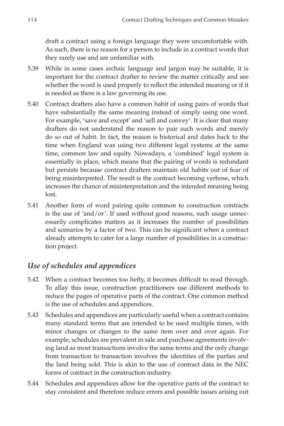draft a contract using a foreign language they were uncomfortable with. As such, there is no reason for a person to include in a contract words that they rarely use and are unfamiliar with.

- 5.39 While in some cases archaic language and jargon may be suitable, it is important for the contract drafter to review the matter critically and see whether the word is used properly to reflect the intended meaning or if it is needed as there is a law governing its use.
- 5.40 Contract drafters also have a common habit of using pairs of words that have substantially the same meaning instead of simply using one word. For example, 'save and except' and 'sell and convey'. It is clear that many drafters do not understand the reason to pair such words and merely do so out of habit. In fact, the reason is historical and dates back to the time when England was using two different legal systems at the same time, common law and equity. Nowadays, a 'combined' legal system is essentially in place, which means that the pairing of words is redundant but persists because contract drafters maintain old habits out of fear of being misinterpreted. The result is the contract becoming verbose, which increases the chance of misinterpretation and the intended meaning being lost.
- 5.41 Another form of word pairing quite common to construction contracts is the use of 'and/or'. If used without good reasons, such usage unnecessarily complicates matters as it increases the number of possibilities and scenarios by a factor of two. This can be significant when a contract already attempts to cater for a large number of possibilities in a construction project.

#### *Use of schedules and appendices*

- 5.42 When a contract becomes too hefty, it becomes difficult to read through. To allay this issue, construction practitioners use different methods to reduce the pages of operative parts of the contract. One common method is the use of schedules and appendices.
- 5.43 Schedules and appendices are particularly useful when a contract contains many standard terms that are intended to be used multiple times, with minor changes or changes to the same item over and over again. For example, schedules are prevalent in sale and purchase agreements involving land as most transactions involve the same terms and the only change from transaction to transaction involves the identities of the parties and the land being sold. This is akin to the use of contract data in the NEC forms of contract in the construction industry.
- 5.44 Schedules and appendices allow for the operative parts of the contract to stay consistent and therefore reduce errors and possible issues arising out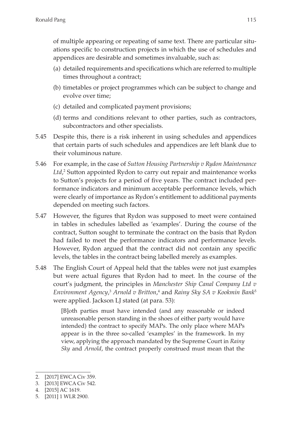of multiple appearing or repeating of same text. There are particular situations specific to construction projects in which the use of schedules and appendices are desirable and sometimes invaluable, such as:

- (a) detailed requirements and specifications which are referred to multiple times throughout a contract;
- (b) timetables or project programmes which can be subject to change and evolve over time;
- (c) detailed and complicated payment provisions;
- (d) terms and conditions relevant to other parties, such as contractors, subcontractors and other specialists.
- 5.45 Despite this, there is a risk inherent in using schedules and appendices that certain parts of such schedules and appendices are left blank due to their voluminous nature.
- 5.46 For example, in the case of *Sutton Housing Partnership v Rydon Maintenance* Ltd,<sup>2</sup> Sutton appointed Rydon to carry out repair and maintenance works to Sutton's projects for a period of five years. The contract included performance indicators and minimum acceptable performance levels, which were clearly of importance as Rydon's entitlement to additional payments depended on meeting such factors.
- 5.47 However, the figures that Rydon was supposed to meet were contained in tables in schedules labelled as 'examples'. During the course of the contract, Sutton sought to terminate the contract on the basis that Rydon had failed to meet the performance indicators and performance levels. However, Rydon argued that the contract did not contain any specific levels, the tables in the contract being labelled merely as examples.
- 5.48 The English Court of Appeal held that the tables were not just examples but were actual figures that Rydon had to meet. In the course of the court's judgment, the principles in *Manchester Ship Canal Company Ltd v Environment Agency*, <sup>3</sup> *Arnold v Britton*, 4 and *Rainy Sky SA v Kookmin Bank*<sup>5</sup> were applied. Jackson LJ stated (at para. 53):

[B]oth parties must have intended (and any reasonable or indeed unreasonable person standing in the shoes of either party would have intended) the contract to specify MAPs. The only place where MAPs appear is in the three so-called 'examples' in the framework. In my view, applying the approach mandated by the Supreme Court in *Rainy Sky* and *Arnold*, the contract properly construed must mean that the

<sup>2.</sup> [2017] EWCA Civ 359.

<sup>3.</sup> [2013] EWCA Civ 542.

<sup>4.</sup> [2015] AC 1619.

<sup>5.</sup> [2011] 1 WLR 2900.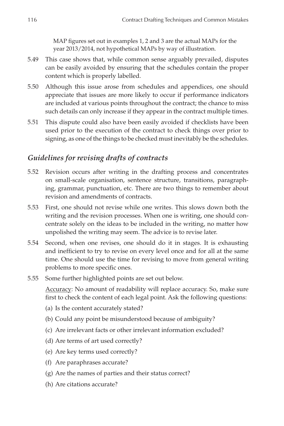MAP figures set out in examples 1, 2 and 3 are the actual MAPs for the year 2013/2014, not hypothetical MAPs by way of illustration.

- 5.49 This case shows that, while common sense arguably prevailed, disputes can be easily avoided by ensuring that the schedules contain the proper content which is properly labelled.
- 5.50 Although this issue arose from schedules and appendices, one should appreciate that issues are more likely to occur if performance indicators are included at various points throughout the contract; the chance to miss such details can only increase if they appear in the contract multiple times.
- 5.51 This dispute could also have been easily avoided if checklists have been used prior to the execution of the contract to check things over prior to signing, as one of the things to be checked must inevitably be the schedules.

#### *Guidelines for revising drafts of contracts*

- 5.52 Revision occurs after writing in the drafting process and concentrates on small-scale organisation, sentence structure, transitions, paragraphing, grammar, punctuation, etc. There are two things to remember about revision and amendments of contracts.
- 5.53 First, one should not revise while one writes. This slows down both the writing and the revision processes. When one is writing, one should concentrate solely on the ideas to be included in the writing, no matter how unpolished the writing may seem. The advice is to revise later.
- 5.54 Second, when one revises, one should do it in stages. It is exhausting and inefficient to try to revise on every level once and for all at the same time. One should use the time for revising to move from general writing problems to more specific ones.
- 5.55 Some further highlighted points are set out below.

Accuracy: No amount of readability will replace accuracy. So, make sure first to check the content of each legal point. Ask the following questions:

- (a) Is the content accurately stated?
- (b) Could any point be misunderstood because of ambiguity?
- (c) Are irrelevant facts or other irrelevant information excluded?
- (d) Are terms of art used correctly?
- (e) Are key terms used correctly?
- (f) Are paraphrases accurate?
- (g) Are the names of parties and their status correct?
- (h) Are citations accurate?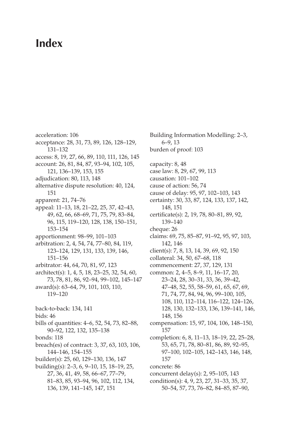### **Index**

acceleration: 106 acceptance: 28, 31, 73, 89, 126, 128–129, 131–132 access: 8, 19, 27, 66, 89, 110, 111, 126, 145 account: 26, 81, 84, 87, 93–94, 102, 105, 121, 136–139, 153, 155 adjudication: 80, 113, 148 alternative dispute resolution: 40, 124, 151 apparent: 21, 74–76 appeal: 11–13, 18, 21–22, 25, 37, 42–43, 49, 62, 66, 68–69, 71, 75, 79, 83–84, 96, 115, 119–120, 128, 138, 150–151, 153–154 apportionment: 98–99, 101–103 arbitration: 2, 4, 54, 74, 77–80, 84, 119, 123–124, 129, 131, 133, 139, 146, 151–156 arbitrator: 44, 64, 70, 81, 97, 123 architect(s): 1, 4, 5, 18, 23–25, 32, 54, 60, 73, 78, 81, 86, 92–94, 99–102, 145–147 award(s): 63–64, 79, 101, 103, 110, 119–120 back-to-back: 134, 141 bids: 46 bills of quantities: 4–6, 52, 54, 73, 82–88, 90–92, 122, 132, 135–138 bonds: 118 breach(es) of contract: 3, 37, 63, 103, 106, 144–146, 154–155 builder(s): 25, 60, 129–130, 136, 147 building(s): 2–3, 6, 9–10, 15, 18–19, 25, 27, 36, 41, 49, 58, 66–67, 77–79, 81–83, 85, 93–94, 96, 102, 112, 134, 136, 139, 141–145, 147, 151

Building Information Modelling: 2–3, 6–9, 13 burden of proof: 103 capacity: 8, 48 case law: 8, 29, 67, 99, 113 causation: 101–102 cause of action: 56, 74 cause of delay: 95, 97, 102–103, 143 certainty: 30, 33, 87, 124, 133, 137, 142, 148, 151 certificate(s): 2, 19, 78, 80–81, 89, 92, 139–140 cheque: 26 claims: 69, 75, 85–87, 91–92, 95, 97, 103, 142, 146 client(s): 7, 8, 13, 14, 39, 69, 92, 150 collateral: 34, 50, 67–68, 118 commencement: 27, 37, 129, 131 common: 2, 4–5, 8–9, 11, 16–17, 20, 23–24, 28, 30–31, 33, 36, 39–42, 47–48, 52, 55, 58–59, 61, 65, 67, 69, 71, 74, 77, 84, 94, 96, 99–100, 105, 108, 110, 112–114, 116–122, 124–126, 128, 130, 132–133, 136, 139–141, 146, 148, 156 compensation: 15, 97, 104, 106, 148–150, 157 completion: 6, 8, 11–13, 18–19, 22, 25–28, 53, 65, 71, 78, 80–81, 86, 89, 92–95, 97–100, 102–105, 142–143, 146, 148, 157 concrete: 86 concurrent delay(s): 2, 95–105, 143 condition(s): 4, 9, 23, 27, 31–33, 35, 37, 50–54, 57, 73, 76–82, 84–85, 87–90,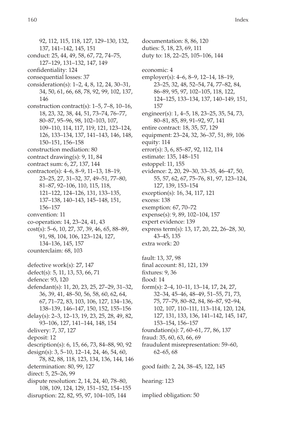92, 112, 115, 118, 127, 129–130, 132, 137, 141–142, 145, 151 conduct: 25, 44, 49, 58, 67, 72, 74–75, 127–129, 131–132, 147, 149 confidentiality: 124 consequential losses: 37 consideration(s): 1–2, 4, 8, 12, 24, 30–31, 34, 50, 61, 66, 68, 78, 92, 99, 102, 137, 146 construction contract(s): 1–5, 7–8, 10–16, 18, 23, 32, 38, 44, 51, 73–74, 76–77, 80–87, 95–96, 98, 102–103, 107, 109–110, 114, 117, 119, 121, 123–124, 126, 133–134, 137, 141–143, 146, 148, 150–151, 156–158 construction mediation: 80 contract drawing(s): 9, 11, 84 contract sum: 6, 27, 137, 144 contractor(s): 4–6, 8–9, 11–13, 18–19, 23–25, 27, 31–32, 37, 49–51, 77–80, 81–87, 92–106, 110, 115, 118, 121–122, 124–126, 131, 133–135, 137–138, 140–143, 145–148, 151, 156–157 convention: 11 co-operation: 14, 23–24, 41, 43 cost(s): 5–6, 10, 27, 37, 39, 46, 65, 88–89, 91, 98, 104, 106, 123–124, 127, 134–136, 145, 157 counterclaim: 68, 103 defective work(s): 27, 147 defect(s): 5, 11, 13, 53, 66, 71 defence: 93, 120 defendant(s): 11, 20, 23, 25, 27–29, 31–32, 36, 39, 41, 48–50, 56, 58, 60, 62, 64, 67, 71–72, 83, 103, 106, 127, 134–136, 138–139, 146–147, 150, 152, 155–156 delay(s): 2–3, 12–13, 19, 23, 25, 28, 49, 82, 93–106, 127, 141–144, 148, 154 delivery: 7, 37, 127 deposit: 12 description(s): 6, 15, 66, 73, 84–88, 90, 92 design(s): 3, 5–10, 12–14, 24, 46, 54, 60, 78, 82, 88, 118, 123, 134, 136, 144, 146 determination: 80, 99, 127 direct: 5, 25–26, 99 dispute resolution: 2, 14, 24, 40, 78–80, 108, 109, 124, 129, 151–152, 154–155 disruption: 22, 82, 95, 97, 104–105, 144

documentation: 8, 86, 120 duties: 5, 18, 23, 69, 111 duty to: 18, 22–25, 105–106, 144 economic: 4 employer(s): 4–6, 8–9, 12–14, 18–19, 23–25, 32, 48, 52–54, 74, 77–82, 84, 86–89, 95, 97, 102–105, 118, 122, 124–125, 133–134, 137, 140–149, 151, 157 engineer(s): 1, 4–5, 18, 23–25, 35, 54, 73, 80–81, 85, 89, 91–92, 97, 141 entire contract: 18, 35, 57, 129 equipment: 23–24, 32, 36–37, 51, 89, 106 equity: 114 error(s): 3, 6, 85–87, 92, 112, 114 estimate: 135, 148–151 estoppel: 11, 155 evidence: 2, 20, 29–30, 33–35, 46–47, 50, 55, 57, 62, 67, 75–76, 81, 97, 123–124, 127, 139, 153–154 exception(s): 16, 34, 117, 121 excess: 138 exemption: 67, 70–72 expense(s): 9, 89, 102–104, 157 expert evidence: 139 express term(s): 13, 17, 20, 22, 26–28, 30, 43–45, 135 extra work: 20 fault: 13, 37, 98 final account: 81, 121, 139 fixtures: 9, 36 flood: 14 form(s): 2–4, 10–11, 13–14, 17, 24, 27, 32–34, 45–46, 48–49, 51–55, 71, 73, 75, 77–79, 80–82, 84, 86–87, 92–94, 102, 107, 110–111, 113–114, 120, 124, 127, 131, 133, 136, 141–142, 145, 147, 153–154, 156–157 foundation(s): 7, 60–61, 77, 86, 137 fraud: 35, 60, 63, 66, 69 fraudulent misrepresentation: 59–60, 62–65, 68 good faith: 2, 24, 38–45, 122, 145 hearing: 123 implied obligation: 50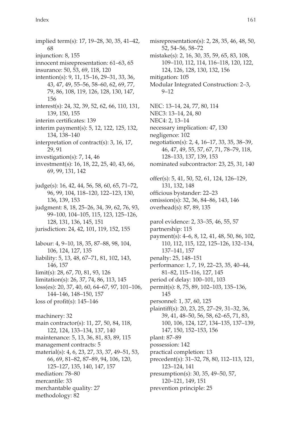implied term(s): 17, 19–28, 30, 35, 41–42, 68 injunction: 8, 155 innocent misrepresentation: 61–63, 65 insurance: 50, 53, 69, 118, 120 intention(s): 9, 11, 15–16, 29–31, 33, 36, 43, 47, 49, 55–56, 58–60, 62, 69, 77, 79, 86, 108, 119, 126, 128, 130, 147, 156 interest(s): 24, 32, 39, 52, 62, 66, 110, 131, 139, 150, 155 interim certificates: 139 interim payment(s): 5, 12, 122, 125, 132, 134, 138–140 interpretation of contract(s): 3, 16, 17, 29, 91 investigation(s): 7, 14, 46 investment(s): 16, 18, 22, 25, 40, 43, 66, 69, 99, 131, 142 judge(s): 16, 42, 44, 56, 58, 60, 65, 71–72, 96, 99, 104, 118–120, 122–123, 130, 136, 139, 153 judgment: 8, 18, 25–26, 34, 39, 62, 76, 93, 99–100, 104–105, 115, 123, 125–126, 128, 131, 136, 145, 151 jurisdiction: 24, 42, 101, 119, 152, 155 labour: 4, 9–10, 18, 35, 87–88, 98, 104, 106, 124, 127, 135 liability: 5, 13, 48, 67–71, 81, 102, 143, 146, 157 limit(s): 28, 67, 70, 81, 93, 126 limitation(s): 26, 37, 74, 86, 113, 145 loss(es): 20, 37, 40, 60, 64–67, 97, 101–106, 144–146, 148–150, 157 loss of profit(s): 145–146 machinery: 32 main contractor(s): 11, 27, 50, 84, 118, 122, 124, 133–134, 137, 140 maintenance: 5, 13, 36, 81, 83, 89, 115 management contracts: 5 material(s): 4, 6, 23, 27, 33, 37, 49–51, 53, 66, 69, 81–82, 87–89, 94, 106, 120, 125–127, 135, 140, 147, 157 mediation: 78–80 mercantile: 33 merchantable quality: 27 methodology: 82

misrepresentation(s): 2, 28, 35, 46, 48, 50, 52, 54–56, 58–72 mistake(s): 2, 16, 30, 35, 59, 65, 83, 108, 109–110, 112, 114, 116–118, 120, 122, 124, 126, 128, 130, 132, 156 mitigation: 105 Modular Integrated Construction: 2–3, 9–12 NEC: 13–14, 24, 77, 80, 114 NEC3: 13–14, 24, 80 NEC4: 2, 13–14 necessary implication: 47, 130 negligence: 102 negotiation(s): 2, 4, 16–17, 33, 35, 38–39, 46, 47, 49, 55, 57, 67, 71, 78–79, 118, 128–133, 137, 139, 153 nominated subcontractor: 23, 25, 31, 140 offer(s): 5, 41, 50, 52, 61, 124, 126–129, 131, 132, 148 officious bystander: 22–23 omission(s): 32, 36, 84–86, 143, 146 overhead(s): 87, 89, 135 parol evidence: 2, 33–35, 46, 55, 57 partnership: 115 payment(s): 4–6, 8, 12, 41, 48, 50, 86, 102, 110, 112, 115, 122, 125–126, 132–134, 137–141, 157 penalty: 25, 148–151 performance: 1, 7, 19, 22–23, 35, 40–44, 81–82, 115–116, 127, 145 period of delay: 100–101, 103 permit(s): 8, 75, 89, 102–103, 135–136, 145 personnel: 1, 37, 60, 125 plaintiff(s): 20, 23, 25, 27–29, 31–32, 36, 39, 41, 48–50, 56, 58, 62–65, 71, 83, 100, 106, 124, 127, 134–135, 137–139, 147, 150, 152–153, 156 plant: 87–89 possession: 142 practical completion: 13 precedent(s): 31–32, 78, 80, 112–113, 121, 123–124, 141 presumption(s): 30, 35, 49–50, 57, 120–121, 149, 151 prevention principle: 25